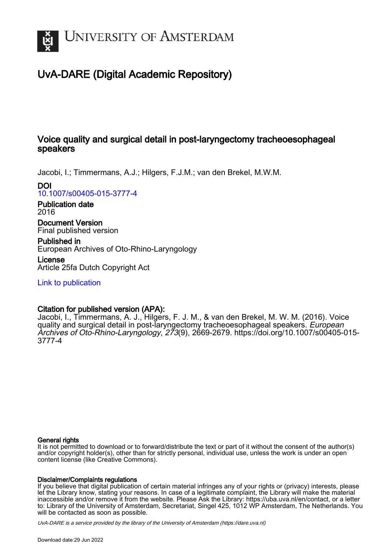

# UvA-DARE (Digital Academic Repository)

## Voice quality and surgical detail in post-laryngectomy tracheoesophageal speakers

Jacobi, I.; Timmermans, A.J.; Hilgers, F.J.M.; van den Brekel, M.W.M.

DOI

[10.1007/s00405-015-3777-4](https://doi.org/10.1007/s00405-015-3777-4)

Publication date 2016

Document Version Final published version

Published in European Archives of Oto-Rhino-Laryngology

License Article 25fa Dutch Copyright Act

[Link to publication](https://dare.uva.nl/personal/pure/en/publications/voice-quality-and-surgical-detail-in-postlaryngectomy-tracheoesophageal-speakers(4a18eab2-4b05-41f0-9762-b9c0db0afdd2).html)

## Citation for published version (APA):

Jacobi, I., Timmermans, A. J., Hilgers, F. J. M., & van den Brekel, M. W. M. (2016). Voice quality and surgical detail in post-laryngectomy tracheoesophageal speakers. European Archives of Oto-Rhino-Laryngology, 273(9), 2669-2679. [https://doi.org/10.1007/s00405-015-](https://doi.org/10.1007/s00405-015-3777-4) [3777-4](https://doi.org/10.1007/s00405-015-3777-4)

#### General rights

It is not permitted to download or to forward/distribute the text or part of it without the consent of the author(s) and/or copyright holder(s), other than for strictly personal, individual use, unless the work is under an open content license (like Creative Commons).

### Disclaimer/Complaints regulations

If you believe that digital publication of certain material infringes any of your rights or (privacy) interests, please let the Library know, stating your reasons. In case of a legitimate complaint, the Library will make the material inaccessible and/or remove it from the website. Please Ask the Library: https://uba.uva.nl/en/contact, or a letter to: Library of the University of Amsterdam, Secretariat, Singel 425, 1012 WP Amsterdam, The Netherlands. You will be contacted as soon as possible.

UvA-DARE is a service provided by the library of the University of Amsterdam (http*s*://dare.uva.nl)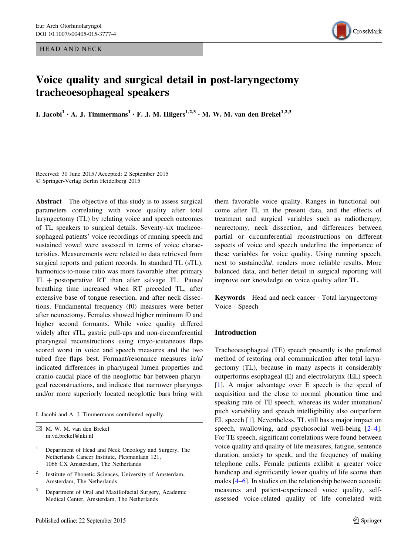HEAD AND NECK



# Voice quality and surgical detail in post-laryngectomy tracheoesophageal speakers

I. Jacobi<sup>1</sup> · A. J. Timmermans<sup>1</sup> · F. J. M. Hilgers<sup>1,2,3</sup> · M. W. M. van den Brekel<sup>1,2,3</sup>

Received: 30 June 2015 / Accepted: 2 September 2015 - Springer-Verlag Berlin Heidelberg 2015

Abstract The objective of this study is to assess surgical parameters correlating with voice quality after total laryngectomy (TL) by relating voice and speech outcomes of TL speakers to surgical details. Seventy-six tracheoesophageal patients' voice recordings of running speech and sustained vowel were assessed in terms of voice characteristics. Measurements were related to data retrieved from surgical reports and patient records. In standard TL (sTL), harmonics-to-noise ratio was more favorable after primary  $TL + postoperative RT than after salvage TL. Pause/$ breathing time increased when RT preceded TL, after extensive base of tongue resection, and after neck dissections. Fundamental frequency (f0) measures were better after neurectomy. Females showed higher minimum f0 and higher second formants. While voice quality differed widely after sTL, gastric pull-ups and non-circumferential pharyngeal reconstructions using (myo-)cutaneous flaps scored worst in voice and speech measures and the two tubed free flaps best. Formant/resonance measures in/a/ indicated differences in pharyngeal lumen properties and cranio-caudal place of the neoglottic bar between pharyngeal reconstructions, and indicate that narrower pharynges and/or more superiorly located neoglottic bars bring with

I. Jacobi and A. J. Timmermans contributed equally.

- <sup>1</sup> Department of Head and Neck Oncology and Surgery, The Netherlands Cancer Institute, Plesmanlaan 121, 1066 CX Amsterdam, The Netherlands
- <sup>2</sup> Institute of Phonetic Sciences, University of Amsterdam, Amsterdam, The Netherlands
- <sup>3</sup> Department of Oral and Maxillofacial Surgery, Academic Medical Center, Amsterdam, The Netherlands

them favorable voice quality. Ranges in functional outcome after TL in the present data, and the effects of treatment and surgical variables such as radiotherapy, neurectomy, neck dissection, and differences between partial or circumferential reconstructions on different aspects of voice and speech underline the importance of these variables for voice quality. Using running speech, next to sustained/a/, renders more reliable results. More balanced data, and better detail in surgical reporting will improve our knowledge on voice quality after TL.

Keywords Head and neck cancer · Total laryngectomy · Voice - Speech

#### Introduction

Tracheoesophageal (TE) speech presently is the preferred method of restoring oral communication after total laryngectomy (TL), because in many aspects it considerably outperforms esophageal (E) and electrolarynx (EL) speech [\[1](#page-10-0)]. A major advantage over E speech is the speed of acquisition and the close to normal phonation time and speaking rate of TE speech, whereas its wider intonation/ pitch variability and speech intelligibility also outperform EL speech [[1\]](#page-10-0). Nevertheless, TL still has a major impact on speech, swallowing, and psychosocial well-being  $[2-4]$ . For TE speech, significant correlations were found between voice quality and quality of life measures, fatigue, sentence duration, anxiety to speak, and the frequency of making telephone calls. Female patients exhibit a greater voice handicap and significantly lower quality of life scores than males [\[4–6](#page-10-0)]. In studies on the relationship between acoustic measures and patient-experienced voice quality, selfassessed voice-related quality of life correlated with

 $\boxtimes$  M. W. M. van den Brekel m.vd.brekel@nki.nl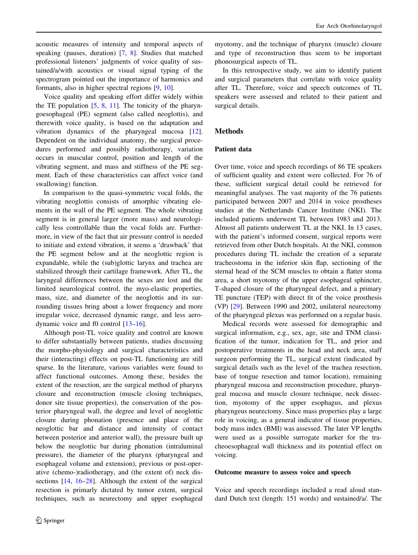acoustic measures of intensity and temporal aspects of speaking (pauses, duration) [\[7](#page-10-0), [8\]](#page-10-0). Studies that matched professional listeners' judgments of voice quality of sustained/a/with acoustics or visual signal typing of the spectrogram pointed out the importance of harmonics and formants, also in higher spectral regions [\[9](#page-10-0), [10](#page-10-0)].

Voice quality and speaking effort differ widely within the TE population  $[5, 8, 11]$  $[5, 8, 11]$  $[5, 8, 11]$  $[5, 8, 11]$  $[5, 8, 11]$ . The tonicity of the pharyngoesophageal (PE) segment (also called neoglottis), and therewith voice quality, is based on the adaptation and vibration dynamics of the pharyngeal mucosa [\[12](#page-10-0)]. Dependent on the individual anatomy, the surgical procedures performed and possibly radiotherapy, variation occurs in muscular control, position and length of the vibrating segment, and mass and stiffness of the PE segment. Each of these characteristics can affect voice (and swallowing) function.

In comparison to the quasi-symmetric vocal folds, the vibrating neoglottis consists of amorphic vibrating elements in the wall of the PE segment. The whole vibrating segment is in general larger (more mass) and neurologically less controllable than the vocal folds are. Furthermore, in view of the fact that air pressure control is needed to initiate and extend vibration, it seems a 'drawback' that the PE segment below and at the neoglottic region is expandable, while the (sub)glottic larynx and trachea are stabilized through their cartilage framework. After TL, the laryngeal differences between the sexes are lost and the limited neurological control, the myo-elastic properties, mass, size, and diameter of the neoglottis and its surrounding tissues bring about a lower frequency and more irregular voice, decreased dynamic range, and less aerodynamic voice and f0 control [\[13](#page-10-0)[–16](#page-11-0)].

Although post-TL voice quality and control are known to differ substantially between patients, studies discussing the morpho-physiology and surgical characteristics and their (interacting) effects on post-TL functioning are still sparse. In the literature, various variables were found to affect functional outcomes. Among these, besides the extent of the resection, are the surgical method of pharynx closure and reconstruction (muscle closing techniques, donor site tissue properties), the conservation of the posterior pharyngeal wall, the degree and level of neoglottic closure during phonation (presence and place of the neoglottic bar and distance and intensity of contact between posterior and anterior wall), the pressure built up below the neoglottic bar during phonation (intraluminal pressure), the diameter of the pharynx (pharyngeal and esophageal volume and extension), previous or post-operative (chemo-)radiotherapy, and (the extent of) neck dissections [[14,](#page-10-0) [16–28](#page-11-0)]. Although the extent of the surgical resection is primarly dictated by tumor extent, surgical techniques, such as neurectomy and upper esophageal

myotomy, and the technique of pharynx (muscle) closure and type of reconstruction thus seem to be important phonosurgical aspects of TL.

In this retrospective study, we aim to identify patient and surgical parameters that correlate with voice quality after TL. Therefore, voice and speech outcomes of TL speakers were assessed and related to their patient and surgical details.

#### **Methods**

#### Patient data

Over time, voice and speech recordings of 86 TE speakers of sufficient quality and extent were collected. For 76 of these, sufficient surgical detail could be retrieved for meaningful analyses. The vast majority of the 76 patients participated between 2007 and 2014 in voice prostheses studies at the Netherlands Cancer Institute (NKI). The included patients underwent TL between 1983 and 2013. Almost all patients underwent TL at the NKI. In 13 cases, with the patient's informed consent, surgical reports were retrieved from other Dutch hospitals. At the NKI, common procedures during TL include the creation of a separate tracheostoma in the inferior skin flap, sectioning of the sternal head of the SCM muscles to obtain a flatter stoma area, a short myotomy of the upper esophageal sphincter, T-shaped closure of the pharyngeal defect, and a primary TE puncture (TEP) with direct fit of the voice prosthesis (VP) [\[29\]](#page-11-0). Between 1990 and 2002, unilateral neurectomy of the pharyngeal plexus was performed on a regular basis.

Medical records were assessed for demographic and surgical information, e.g., sex, age, site and TNM classification of the tumor, indication for TL, and prior and postoperative treatments in the head and neck area, staff surgeon performing the TL, surgical extent (indicated by surgical details such as the level of the trachea resection, base of tongue resection and tumor location), remaining pharyngeal mucosa and reconstruction procedure, pharyngeal mucosa and muscle closure technique, neck dissection, myotomy of the upper esophagus, and plexus pharyngeus neurectomy. Since mass properties play a large role in voicing, as a general indicator of tissue properties, body mass index (BMI) was assessed. The later VP lengths were used as a possible surrogate marker for the tracheoesophageal wall thickness and its potential effect on voicing.

#### Outcome measure to assess voice and speech

Voice and speech recordings included a read aloud standard Dutch text (length: 151 words) and sustained/a/. The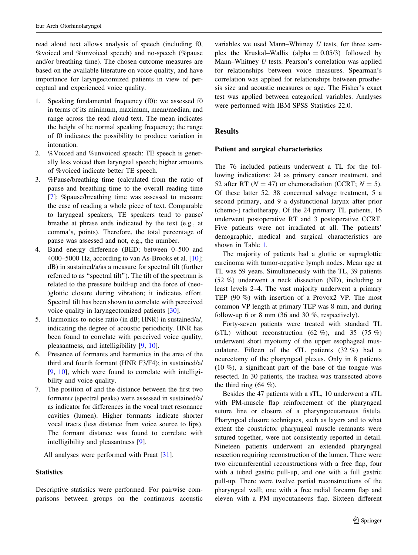read aloud text allows analysis of speech (including f0, %voiced and %unvoiced speech) and no-speech (%pause and/or breathing time). The chosen outcome measures are based on the available literature on voice quality, and have importance for laryngectomized patients in view of perceptual and experienced voice quality.

- 1. Speaking fundamental frequency (f0): we assessed f0 in terms of its minimum, maximum, mean/median, and range across the read aloud text. The mean indicates the height of he normal speaking frequency; the range of f0 indicates the possibility to produce variation in intonation.
- 2. %Voiced and %unvoiced speech: TE speech is generally less voiced than laryngeal speech; higher amounts of %voiced indicate better TE speech.
- 3. %Pause/breathing time (calculated from the ratio of pause and breathing time to the overall reading time [\[7](#page-10-0)]: %pause/breathing time was assessed to measure the ease of reading a whole piece of text. Comparable to laryngeal speakers, TE speakers tend to pause/ breathe at phrase ends indicated by the text (e.g., at comma's, points). Therefore, the total percentage of pause was assessed and not, e.g., the number.
- 4. Band energy difference (BED; between 0–500 and 4000–5000 Hz, according to van As-Brooks et al. [\[10](#page-10-0)]; dB) in sustained/a/as a measure for spectral tilt (further referred to as ''spectral tilt''). The tilt of the spectrum is related to the pressure build-up and the force of (neo- )glottic closure during vibration; it indicates effort. Spectral tilt has been shown to correlate with perceived voice quality in laryngectomized patients [[30\]](#page-11-0).
- 5. Harmonics-to-noise ratio (in dB; HNR) in sustained/a/, indicating the degree of acoustic periodicity. HNR has been found to correlate with perceived voice quality, pleasantness, and intelligibility [[9,](#page-10-0) [10\]](#page-10-0).
- 6. Presence of formants and harmonics in the area of the third and fourth formant (HNR F3/F4); in sustained/a/ [\[9](#page-10-0), [10\]](#page-10-0), which were found to correlate with intelligibility and voice quality.
- 7. The position of and the distance between the first two formants (spectral peaks) were assessed in sustained/a/ as indicator for differences in the vocal tract resonance cavities (lumen). Higher formants indicate shorter vocal tracts (less distance from voice source to lips). The formant distance was found to correlate with intelligibility and pleasantness [\[9](#page-10-0)].

All analyses were performed with Praat [[31\]](#page-11-0).

#### **Statistics**

Descriptive statistics were performed. For pairwise comparisons between groups on the continuous acoustic

variables we used Mann–Whitney  $U$  tests, for three samples the Kruskal–Wallis (alpha =  $0.05/3$ ) followed by Mann–Whitney U tests. Pearson's correlation was applied for relationships between voice measures. Spearman's correlation was applied for relationships between prosthesis size and acoustic measures or age. The Fisher's exact test was applied between categorical variables. Analyses were performed with IBM SPSS Statistics 22.0.

#### **Results**

#### Patient and surgical characteristics

The 76 included patients underwent a TL for the following indications: 24 as primary cancer treatment, and 52 after RT ( $N = 47$ ) or chemoradiation (CCRT;  $N = 5$ ). Of these latter 52, 38 concerned salvage treatment, 5 a second primary, and 9 a dysfunctional larynx after prior (chemo-) radiotherapy. Of the 24 primary TL patients, 16 underwent postoperative RT and 3 postoperative CCRT. Five patients were not irradiated at all. The patients' demographic, medical and surgical characteristics are shown in Table [1](#page-4-0).

The majority of patients had a glottic or supraglottic carcinoma with tumor-negative lymph nodes. Mean age at TL was 59 years. Simultaneously with the TL, 39 patients (52 %) underwent a neck dissection (ND), including at least levels 2–4. The vast majority underwent a primary TEP (90 %) with insertion of a Provox2 VP. The most common VP length at primary TEP was 8 mm, and during follow-up 6 or 8 mm (36 and 30 %, respectively).

Forty-seven patients were treated with standard TL (sTL) without reconstruction  $(62 \%)$ , and  $35 (75 \%)$ underwent short myotomy of the upper esophageal musculature. Fifteen of the sTL patients (32 %) had a neurectomy of the pharyngeal plexus. Only in 8 patients (10 %), a significant part of the base of the tongue was resected. In 30 patients, the trachea was transected above the third ring  $(64 \%)$ .

Besides the 47 patients with a sTL, 10 underwent a sTL with PM-muscle flap reinforcement of the pharyngeal suture line or closure of a pharyngocutaneous fistula. Pharyngeal closure techniques, such as layers and to what extent the constrictor pharyngeal muscle remnants were sutured together, were not consistently reported in detail. Nineteen patients underwent an extended pharyngeal resection requiring reconstruction of the lumen. There were two circumferential reconstructions with a free flap, four with a tubed gastric pull-up, and one with a full gastric pull-up. There were twelve partial reconstructions of the pharyngeal wall; one with a free radial forearm flap and eleven with a PM myocutaneous flap. Sixteen different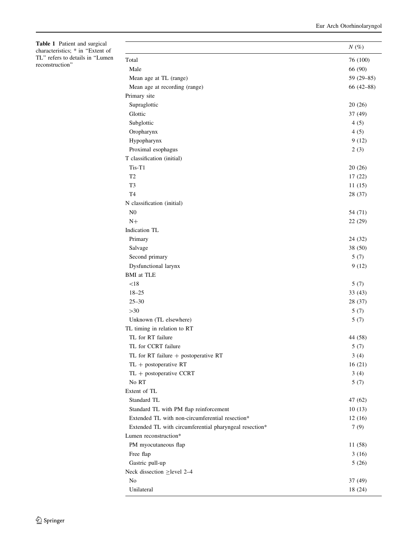<span id="page-4-0"></span>Table 1 Patient and surgical characteristics; \* in ''Extent of TL'' refers to details in ''Lumen reconstruction''

|                                                        | $N(\%)$       |
|--------------------------------------------------------|---------------|
| Total                                                  | 76 (100)      |
| Male                                                   | 66 (90)       |
| Mean age at TL (range)                                 | 59 (29-85)    |
| Mean age at recording (range)                          | $66(42 - 88)$ |
| Primary site                                           |               |
| Supraglottic                                           | 20(26)        |
| Glottic                                                | 37 (49)       |
| Subglottic                                             | 4(5)          |
| Oropharynx                                             | 4(5)          |
| Hypopharynx                                            | 9(12)         |
| Proximal esophagus                                     | 2(3)          |
| T classification (initial)                             |               |
| Tis-T1                                                 | 20(26)        |
| T <sub>2</sub>                                         | 17(22)        |
| T <sub>3</sub>                                         | 11(15)        |
| T <sub>4</sub>                                         | 28 (37)       |
| N classification (initial)                             |               |
| N <sub>0</sub>                                         | 54 (71)       |
| $N+$                                                   | 22 (29)       |
| Indication TL                                          |               |
| Primary                                                | 24 (32)       |
| Salvage                                                | 38 (50)       |
| Second primary                                         | 5(7)          |
| Dysfunctional larynx                                   | 9(12)         |
| <b>BMI</b> at TLE                                      |               |
| < 18                                                   | 5(7)          |
| $18 - 25$                                              | 33(43)        |
| $25 - 30$                                              | 28 (37)       |
| $>30$                                                  | 5(7)          |
| Unknown (TL elsewhere)                                 | 5(7)          |
| TL timing in relation to RT                            |               |
| TL for RT failure                                      | 44 (58)       |
| TL for CCRT failure                                    | 5(7)          |
| TL for RT failure + postoperative RT                   | 3(4)          |
| $TL + postoperative RT$                                | 16(21)        |
| $TL + postoperative CCRT$                              | 3(4)          |
| No RT                                                  | 5(7)          |
| Extent of TL                                           |               |
| Standard TL                                            | 47 (62)       |
| Standard TL with PM flap reinforcement                 | 10(13)        |
| Extended TL with non-circumferential resection*        | 12(16)        |
| Extended TL with circumferential pharyngeal resection* | 7(9)          |
| Lumen reconstruction*                                  |               |
| PM myocutaneous flap                                   | 11 (58)       |
| Free flap                                              | 3(16)         |
| Gastric pull-up                                        | 5(26)         |
| Neck dissection $\geq$ level 2–4                       |               |
| No                                                     | 37 (49)       |
|                                                        |               |
| Unilateral                                             | 18 (24)       |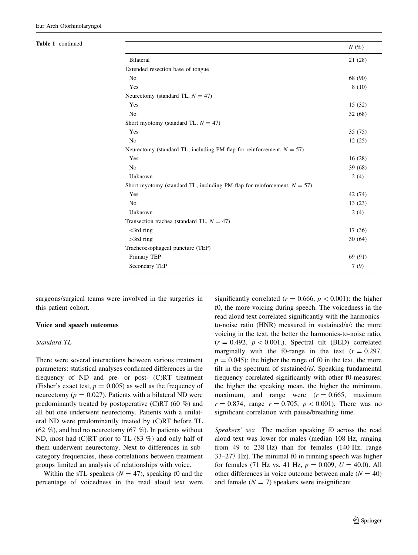| Table 1 continued |                                                                             | $N(\%)$ |  |  |  |  |  |  |
|-------------------|-----------------------------------------------------------------------------|---------|--|--|--|--|--|--|
|                   | Bilateral                                                                   | 21 (28) |  |  |  |  |  |  |
|                   | Extended resection base of tongue                                           |         |  |  |  |  |  |  |
|                   | No                                                                          | 68 (90) |  |  |  |  |  |  |
|                   | Yes                                                                         | 8(10)   |  |  |  |  |  |  |
|                   | Neurectomy (standard TL, $N = 47$ )                                         |         |  |  |  |  |  |  |
|                   | Yes                                                                         | 15(32)  |  |  |  |  |  |  |
|                   | No                                                                          | 32(68)  |  |  |  |  |  |  |
|                   | Short myotomy (standard TL, $N = 47$ )                                      |         |  |  |  |  |  |  |
|                   | Yes                                                                         | 35(75)  |  |  |  |  |  |  |
|                   | No                                                                          | 12(25)  |  |  |  |  |  |  |
|                   | Neurectomy (standard TL, including PM flap for reinforcement, $N = 57$ )    |         |  |  |  |  |  |  |
|                   | Yes                                                                         | 16(28)  |  |  |  |  |  |  |
|                   | No                                                                          | 39 (68) |  |  |  |  |  |  |
|                   | Unknown                                                                     | 2(4)    |  |  |  |  |  |  |
|                   | Short myotomy (standard TL, including PM flap for reinforcement, $N = 57$ ) |         |  |  |  |  |  |  |
|                   | Yes                                                                         | 42 (74) |  |  |  |  |  |  |
|                   | N <sub>0</sub>                                                              | 13(23)  |  |  |  |  |  |  |
|                   | Unknown                                                                     | 2(4)    |  |  |  |  |  |  |
|                   | Transection trachea (standard TL, $N = 47$ )                                |         |  |  |  |  |  |  |
|                   | $<$ 3rd ring                                                                | 17(36)  |  |  |  |  |  |  |
|                   | $>3rd$ ring                                                                 | 30(64)  |  |  |  |  |  |  |
|                   | Tracheoesophageal puncture (TEP)                                            |         |  |  |  |  |  |  |
|                   | Primary TEP                                                                 | 69 (91) |  |  |  |  |  |  |
|                   | Secondary TEP                                                               | 7(9)    |  |  |  |  |  |  |
|                   |                                                                             |         |  |  |  |  |  |  |

surgeons/surgical teams were involved in the surgeries in this patient cohort.

#### Voice and speech outcomes

#### Standard TL

There were several interactions between various treatment parameters: statistical analyses confirmed differences in the frequency of ND and pre- or post- (C)RT treatment (Fisher's exact test,  $p = 0.005$ ) as well as the frequency of neurectomy ( $p = 0.027$ ). Patients with a bilateral ND were predominantly treated by postoperative (C)RT (60 %) and all but one underwent neurectomy. Patients with a unilateral ND were predominantly treated by (C)RT before TL (62 %), and had no neurectomy (67 %). In patients without ND, most had (C)RT prior to TL (83 %) and only half of them underwent neurectomy. Next to differences in subcategory frequencies, these correlations between treatment groups limited an analysis of relationships with voice.

Within the sTL speakers ( $N = 47$ ), speaking f0 and the percentage of voicedness in the read aloud text were

significantly correlated ( $r = 0.666$ ,  $p < 0.001$ ): the higher f0, the more voicing during speech. The voicedness in the read aloud text correlated significantly with the harmonicsto-noise ratio (HNR) measured in sustained/a/: the more voicing in the text, the better the harmonics-to-noise ratio,  $(r = 0.492, p < 0.001)$ . Spectral tilt (BED) correlated marginally with the f0-range in the text  $(r = 0.297,$  $p = 0.045$ : the higher the range of f0 in the text, the more tilt in the spectrum of sustained/a/. Speaking fundamental frequency correlated significantly with other f0-measures: the higher the speaking mean, the higher the minimum, maximum, and range were  $(r = 0.665, \text{ maximum})$  $r = 0.874$ , range  $r = 0.705$ ,  $p < 0.001$ ). There was no significant correlation with pause/breathing time.

Speakers' sex The median speaking f0 across the read aloud text was lower for males (median 108 Hz, ranging from 49 to 238 Hz) than for females (140 Hz, range 33–277 Hz). The minimal f0 in running speech was higher for females (71 Hz vs. 41 Hz,  $p = 0.009$ ,  $U = 40.0$ ). All other differences in voice outcome between male  $(N = 40)$ and female  $(N = 7)$  speakers were insignificant.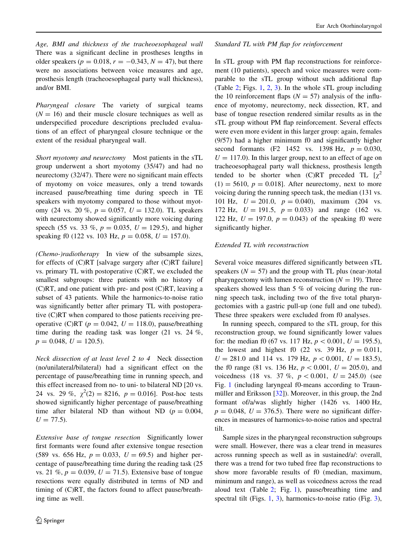Age, BMI and thickness of the tracheoesophageal wall There was a significant decline in prostheses lengths in older speakers ( $p = 0.018$ ,  $r = -0.343$ ,  $N = 47$ ), but there were no associations between voice measures and age, prosthesis length (tracheoesophageal party wall thickness), and/or BMI.

Pharyngeal closure The variety of surgical teams  $(N = 16)$  and their muscle closure techniques as well as underspecified procedure descriptions precluded evaluations of an effect of pharyngeal closure technique or the extent of the residual pharyngeal wall.

Short myotomy and neurectomy Most patients in the sTL group underwent a short myotomy (35/47) and had no neurectomy (32/47). There were no significant main effects of myotomy on voice measures, only a trend towards increased pause/breathing time during speech in TE speakers with myotomy compared to those without myotomy (24 vs. 20 %,  $p = 0.057$ ,  $U = 132.0$ ). TL speakers with neurectomy showed significantly more voicing during speech (55 vs. 33 %,  $p = 0.035$ ,  $U = 129.5$ ), and higher speaking f0 (122 vs. 103 Hz,  $p = 0.058$ ,  $U = 157.0$ ).

(Chemo-)radiotherapy In view of the subsample sizes, for effects of (C)RT [salvage surgery after (C)RT failure] vs. primary TL with postoperative (C)RT, we excluded the smallest subgroups: three patients with no history of (C)RT, and one patient with pre- and post (C)RT, leaving a subset of 43 patients. While the harmonics-to-noise ratio was significantly better after primary TL with postoperative (C)RT when compared to those patients receiving preoperative (C)RT ( $p = 0.042$ ,  $U = 118.0$ ), pause/breathing time during the reading task was longer (21 vs. 24 %,  $p = 0.048, U = 120.5$ .

Neck dissection of at least level 2 to 4 Neck dissection (no/unilateral/bilateral) had a significant effect on the percentage of pause/breathing time in running speech, and this effect increased from no- to uni- to bilateral ND [20 vs. 24 vs. 29 %,  $\chi^2(2) = 8216$ ,  $p = 0.016$ ]. Post-hoc tests showed significantly higher percentage of pause/breathing time after bilateral ND than without ND ( $p = 0.004$ ,  $U = 77.5$ ).

Extensive base of tongue resection Significantly lower first formants were found after extensive tongue resection (589 vs. 656 Hz,  $p = 0.033$ ,  $U = 69.5$ ) and higher percentage of pause/breathing time during the reading task (25 vs. 21 %,  $p = 0.039, U = 71.5$ . Extensive base of tongue resections were equally distributed in terms of ND and timing of (C)RT, the factors found to affect pause/breathing time as well.

#### Standard TL with PM flap for reinforcement

In sTL group with PM flap reconstructions for reinforcement (10 patients), speech and voice measures were comparable to the sTL group without such additional flap (Table [2;](#page-7-0) Figs. [1,](#page-7-0) [2](#page-8-0), [3](#page-8-0)). In the whole sTL group including the 10 reinforcement flaps  $(N = 57)$  analysis of the influence of myotomy, neurectomy, neck dissection, RT, and base of tongue resection rendered similar results as in the sTL group without PM flap reinforcement. Several effects were even more evident in this larger group: again, females (9/57) had a higher minimum f0 and significantly higher second formants (F2 1452 vs. 1398 Hz,  $p = 0.030$ ,  $U = 117.0$ ). In this larger group, next to an effect of age on tracheoesophageal party wall thickness, prosthesis length tended to be shorter when (C)RT preceded TL  $[\chi^2]$  $(1) = 5610$ ,  $p = 0.018$ . After neurectomy, next to more voicing during the running speech task, the median (131 vs. 101 Hz,  $U = 201.0$ ,  $p = 0.040$ , maximum (204 vs. 172 Hz,  $U = 191.5$ ,  $p = 0.033$ ) and range (162 vs. 122 Hz,  $U = 197.0$ ,  $p = 0.043$ ) of the speaking f0 were significantly higher.

#### Extended TL with reconstruction

Several voice measures differed significantly between sTL speakers ( $N = 57$ ) and the group with TL plus (near-)total pharyngectomy with lumen reconstruction  $(N = 19)$ . Three speakers showed less than 5 % of voicing during the running speech task, including two of the five total pharyngectomies with a gastric pull-up (one full and one tubed). These three speakers were excluded from f0 analyses.

In running speech, compared to the sTL group, for this reconstruction group, we found significantly lower values for: the median f0 (67 vs. 117 Hz,  $p < 0.001$ ,  $U = 195.5$ ), the lowest and highest f0 (22 vs. 39 Hz,  $p = 0.011$ ,  $U = 281.0$  and 114 vs. 179 Hz,  $p < 0.001$ ,  $U = 183.5$ ), the f0 range (81 vs. 136 Hz,  $p < 0.001$ ,  $U = 205.0$ ), and voicedness (18 vs. 37 %,  $p < 0.001$ ,  $U = 245.0$ ) (see Fig. [1](#page-7-0) (including laryngeal f0-means according to Traunmüller and Eriksson  $[32]$  $[32]$ ). Moreover, in this group, the 2nd formant of/a/was slightly higher (1426 vs. 1400 Hz,  $p = 0.048$ ,  $U = 376.5$ . There were no significant differences in measures of harmonics-to-noise ratios and spectral tilt.

Sample sizes in the pharyngeal reconstruction subgroups were small. However, there was a clear trend in measures across running speech as well as in sustained/a/: overall, there was a trend for two tubed free flap reconstructions to show more favorable results of f0 (median, maximum, minimum and range), as well as voicedness across the read aloud text (Table [2;](#page-7-0) Fig. [1\)](#page-7-0), pause/breathing time and spectral tilt (Figs. [1](#page-7-0), [3](#page-8-0)), harmonics-to-noise ratio (Fig. [3](#page-8-0)),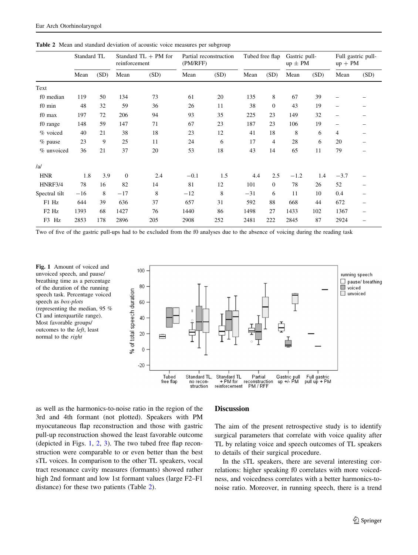|                               | Standard TL |      | Standard $TL + PM$ for<br>reinforcement |      | Partial reconstruction<br>(PM/RFF) |      | Tubed free flap |                | Gastric pull-<br>$up \pm PM$ |      | Full gastric pull-<br>$up + PM$ |      |
|-------------------------------|-------------|------|-----------------------------------------|------|------------------------------------|------|-----------------|----------------|------------------------------|------|---------------------------------|------|
|                               | Mean        | (SD) | Mean                                    | (SD) | Mean                               | (SD) | Mean            | (SD)           | Mean                         | (SD) | Mean                            | (SD) |
| Text                          |             |      |                                         |      |                                    |      |                 |                |                              |      |                                 |      |
| f0 median                     | 119         | 50   | 134                                     | 73   | 61                                 | 20   | 135             | 8              | 67                           | 39   | -                               |      |
| f0 min                        | 48          | 32   | 59                                      | 36   | 26                                 | 11   | 38              | $\overline{0}$ | 43                           | 19   | $\qquad \qquad -$               | -    |
| f0 max                        | 197         | 72   | 206                                     | 94   | 93                                 | 35   | 225             | 23             | 149                          | 32   | $\qquad \qquad -$               |      |
| f0 range                      | 148         | 59   | 147                                     | 71   | 67                                 | 23   | 187             | 23             | 106                          | 19   | $\overline{\phantom{0}}$        |      |
| % voiced                      | 40          | 21   | 38                                      | 18   | 23                                 | 12   | 41              | 18             | 8                            | 6    | 4                               |      |
| % pause                       | 23          | 9    | 25                                      | 11   | 24                                 | 6    | 17              | $\overline{4}$ | 28                           | 6    | 20                              |      |
| % unvoiced                    | 36          | 21   | 37                                      | 20   | 53                                 | 18   | 43              | 14             | 65                           | 11   | 79                              |      |
| /al                           |             |      |                                         |      |                                    |      |                 |                |                              |      |                                 |      |
| <b>HNR</b>                    | 1.8         | 3.9  | $\overline{0}$                          | 2.4  | $-0.1$                             | 1.5  | 4.4             | 2.5            | $-1.2$                       | 1.4  | $-3.7$                          |      |
| HNRF3/4                       | 78          | 16   | 82                                      | 14   | 81                                 | 12   | 101             | $\overline{0}$ | 78                           | 26   | 52                              |      |
| Spectral tilt                 | $-16$       | 8    | $-17$                                   | 8    | $-12$                              | 8    | $-31$           | 6              | 11                           | 10   | 0.4                             |      |
| F1 Hz                         | 644         | 39   | 636                                     | 37   | 657                                | 31   | 592             | 88             | 668                          | 44   | 672                             |      |
| F <sub>2</sub> H <sub>z</sub> | 1393        | 68   | 1427                                    | 76   | 1440                               | 86   | 1498            | 27             | 1433                         | 102  | 1367                            |      |
| Hz<br>F3                      | 2853        | 178  | 2896                                    | 205  | 2908                               | 252  | 2481            | 222            | 2845                         | 87   | 2924                            |      |

<span id="page-7-0"></span>Table 2 Mean and standard deviation of acoustic voice measures per subgroup

Two of five of the gastric pull-ups had to be excluded from the f0 analyses due to the absence of voicing during the reading task

Fig. 1 Amount of voiced and unvoiced speech, and pause/ breathing time as a percentage of the duration of the running speech task. Percentage voiced speech as box-plots (representing the median, 95 % CI and interquartile range). Most favorable groups/ outcomes to the left, least normal to the right



as well as the harmonics-to-noise ratio in the region of the 3rd and 4th formant (not plotted). Speakers with PM myocutaneous flap reconstruction and those with gastric pull-up reconstruction showed the least favorable outcome (depicted in Figs. 1, [2](#page-8-0), [3](#page-8-0)). The two tubed free flap reconstruction were comparable to or even better than the best sTL voices. In comparison to the other TL speakers, vocal tract resonance cavity measures (formants) showed rather high 2nd formant and low 1st formant values (large F2–F1 distance) for these two patients (Table 2).

#### **Discussion**

The aim of the present retrospective study is to identify surgical parameters that correlate with voice quality after TL by relating voice and speech outcomes of TL speakers to details of their surgical procedure.

In the sTL speakers, there are several interesting correlations: higher speaking f0 correlates with more voicedness, and voicedness correlates with a better harmonics-tonoise ratio. Moreover, in running speech, there is a trend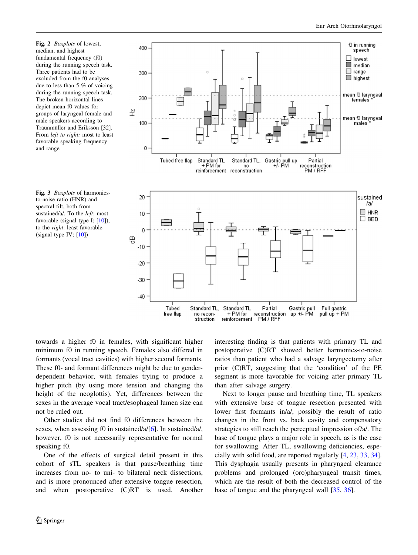<span id="page-8-0"></span>Fig. 2 *Boxplots* of lowest, median, and highest fundamental frequency (f0) during the running speech task. Three patients had to be excluded from the f0 analyses due to less than 5 % of voicing during the running speech task. The broken horizontal lines depict mean f0 values for groups of laryngeal female and male speakers according to Traunmüller and Eriksson [32]. From left to right: most to least favorable speaking frequency and range





towards a higher f0 in females, with significant higher minimum f0 in running speech. Females also differed in formants (vocal tract cavities) with higher second formants. These f0- and formant differences might be due to genderdependent behavior, with females trying to produce a higher pitch (by using more tension and changing the height of the neoglottis). Yet, differences between the sexes in the average vocal tract/esophageal lumen size can not be ruled out.

Other studies did not find f0 differences between the sexes, when assessing f0 in sustained/a/[[6\]](#page-10-0). In sustained/a/, however, f0 is not necessarily representative for normal speaking f0.

One of the effects of surgical detail present in this cohort of sTL speakers is that pause/breathing time increases from no- to uni- to bilateral neck dissections, and is more pronounced after extensive tongue resection, and when postoperative (C)RT is used. Another interesting finding is that patients with primary TL and postoperative (C)RT showed better harmonics-to-noise ratios than patient who had a salvage laryngectomy after prior (C)RT, suggesting that the 'condition' of the PE segment is more favorable for voicing after primary TL than after salvage surgery.

Next to longer pause and breathing time, TL speakers with extensive base of tongue resection presented with lower first formants in/a/, possibly the result of ratio changes in the front vs. back cavity and compensatory strategies to still reach the perceptual impression of/a/. The base of tongue plays a major role in speech, as is the case for swallowing. After TL, swallowing deficiencies, especially with solid food, are reported regularly [[4,](#page-10-0) [23,](#page-11-0) [33,](#page-11-0) [34](#page-11-0)]. This dysphagia usually presents in pharyngeal clearance problems and prolonged (oro)pharyngeal transit times, which are the result of both the decreased control of the base of tongue and the pharyngeal wall [[35](#page-11-0), [36](#page-11-0)].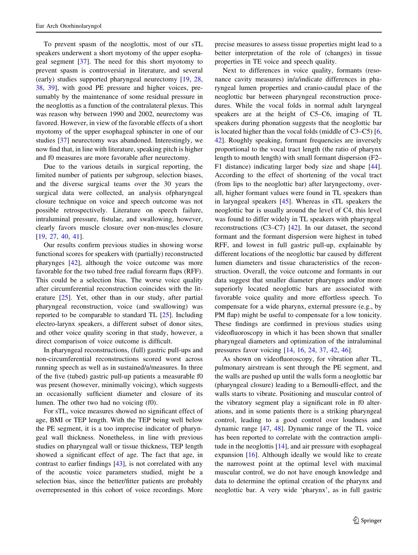To prevent spasm of the neoglottis, most of our sTL speakers underwent a short myotomy of the upper esophageal segment [[37\]](#page-11-0). The need for this short myotomy to prevent spasm is controversial in literature, and several (early) studies supported pharyngeal neurectomy [\[19](#page-11-0), [28,](#page-11-0) [38,](#page-11-0) [39](#page-11-0)], with good PE pressure and higher voices, presumably by the maintenance of some residual pressure in the neoglottis as a function of the contralateral plexus. This was reason why between 1990 and 2002, neurectomy was favored. However, in view of the favorable effects of a short myotomy of the upper esophageal sphincter in one of our studies [\[37](#page-11-0)] neurectomy was abandoned. Interestingly, we now find that, in line with literature, speaking pitch is higher and f0 measures are more favorable after neurectomy.

Due to the various details in surgical reporting, the limited number of patients per subgroup, selection biases, and the diverse surgical teams over the 30 years the surgical data were collected, an analysis ofpharyngeal closure technique on voice and speech outcome was not possible retrospectively. Literature on speech failure, intraluminal pressure, fistulae, and swallowing, however, clearly favors muscle closure over non-muscles closure [\[19](#page-11-0), [27,](#page-11-0) [40](#page-11-0), [41\]](#page-11-0).

Our results confirm previous studies in showing worse functional scores for speakers with (partially) reconstructed pharynges [[42\]](#page-11-0), although the voice outcome was more favorable for the two tubed free radial forearm flaps (RFF). This could be a selection bias. The worse voice quality after circumferential reconstruction coincides with the literature [\[25](#page-11-0)]. Yet, other than in our study, after partial pharyngeal reconstruction, voice (and swallowing) was reported to be comparable to standard TL [\[25](#page-11-0)]. Including electro-larynx speakers, a different subset of donor sites, and other voice quality scoring in that study, however, a direct comparison of voice outcome is difficult.

In pharyngeal reconstructions, (full) gastric pull-ups and non-circumferential reconstructions scored worst across running speech as well as in sustained/a/measures. In three of the five (tubed) gastric pull-up patients a measurable f0 was present (however, minimally voicing), which suggests an occasionally sufficient diameter and closure of its lumen. The other two had no voicing (f0).

For sTL, voice measures showed no significant effect of age, BMI or TEP length. With the TEP being well below the PE segment, it is a too imprecise indicator of pharyngeal wall thickness. Nonetheless, in line with previous studies on pharyngeal wall or tissue thickness, TEP length showed a significant effect of age. The fact that age, in contrast to earlier findings [[43\]](#page-11-0), is not correlated with any of the acoustic voice parameters studied, might be a selection bias, since the better/fitter patients are probably overrepresented in this cohort of voice recordings. More

precise measures to assess tissue properties might lead to a better interpretation of the role of (changes) in tissue properties in TE voice and speech quality.

Next to differences in voice quality, formants (resonance cavity measures) in/a/indicate differences in pharyngeal lumen properties and cranio-caudal place of the neoglottic bar between pharyngeal reconstruction procedures. While the vocal folds in normal adult laryngeal speakers are at the height of C5–C6, imaging of TL speakers during phonation suggests that the neoglottic bar is located higher than the vocal folds (middle of C3–C5) [[6,](#page-10-0) [42](#page-11-0)]. Roughly speaking, formant frequencies are inversely proportional to the vocal tract length (the ratio of pharynx length to mouth length) with small formant dispersion (F2– F1 distance) indicating larger body size and shape [\[44](#page-11-0)]. According to the effect of shortening of the vocal tract (from lips to the neoglottic bar) after laryngectomy, overall, higher formant values were found in TL speakers than in laryngeal speakers [[45\]](#page-11-0). Whereas in sTL speakers the neoglottic bar is usually around the level of C4, this level was found to differ widely in TL speakers with pharyngeal reconstructions (C3–C7) [\[42](#page-11-0)]. In our dataset, the second formant and the formant dispersion were highest in tubed RFF, and lowest in full gastric pull-up, explainable by different locations of the neoglottic bar caused by different lumen diameters and tissue characteristics of the reconstruction. Overall, the voice outcome and formants in our data suggest that smaller diameter pharynges and/or more superiorly located neoglottic bars are associated with favorable voice quality and more effortless speech. To compensate for a wide pharynx, external pressure (e.g., by PM flap) might be useful to compensate for a low tonicity. These findings are confirmed in previous studies using videofluoroscopy in which it has been shown that smaller pharyngeal diameters and optimization of the intraluminal pressures favor voicing [[14,](#page-10-0) [16](#page-11-0), [24](#page-11-0), [37](#page-11-0), [42,](#page-11-0) [46\]](#page-11-0).

As shown on videofluoroscopy, for vibration after TL, pulmonary airstream is sent through the PE segment, and the walls are pushed up until the walls form a neoglottic bar (pharyngeal closure) leading to a Bernoulli-effect, and the walls starts to vibrate. Positioning and muscular control of the vibratory segment play a significant role in f0 alterations, and in some patients there is a striking pharyngeal control, leading to a good control over loudness and dynamic range [\[47](#page-11-0), [48\]](#page-11-0). Dynamic range of the TL voice has been reported to correlate with the contraction amplitude in the neoglottis [[14\]](#page-10-0), and air pressure with esophageal expansion [[16\]](#page-11-0). Although ideally we would like to create the narrowest point at the optimal level with maximal muscular control, we do not have enough knowledge and data to determine the optimal creation of the pharynx and neoglottic bar. A very wide 'pharynx', as in full gastric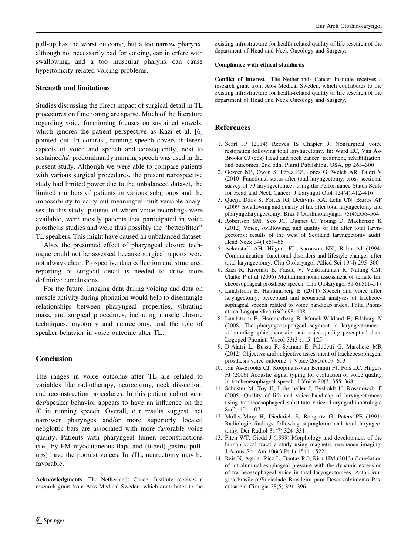<span id="page-10-0"></span>pull-up has the worst outcome, but a too narrow pharynx, although not necessarily bad for voicing, can interfere with swallowing, and a too muscular pharynx can cause hypertonicity-related voicing problems.

#### Strength and limitations

Studies discussing the direct impact of surgical detail in TL procedures on functioning are sparse. Much of the literature regarding voice functioning focuses on sustained vowels, which ignores the patient perspective as Kazi et al. [6] pointed out. In contrast, running speech covers different aspects of voice and speech and consequently, next to sustained/a/, predominantly running speech was used in the present study. Although we were able to compare patients with various surgical procedures, the present retrospective study had limited power due to the unbalanced dataset, the limited numbers of patients in various subgroups and the impossibility to carry out meaningful multivariable analyses. In this study, patients of whom voice recordings were available, were mostly patients that participated in voice prosthesis studies and were thus possibly the ''better/fitter'' TL speakers. This might have caused an unbalanced dataset.

Also, the presumed effect of pharyngeal closure technique could not be assessed because surgical reports were not always clear. Prospective data collection and structured reporting of surgical detail is needed to draw more definitive conclusions.

For the future, imaging data during voicing and data on muscle activity during phonation would help to disentangle relationships between pharyngeal properties, vibrating mass, and surgical procedures, including muscle closure techniques, myotomy and neurectomy, and the role of speaker behavior in voice outcome after TL.

#### Conclusion

The ranges in voice outcome after TL are related to variables like radiotherapy, neurectomy, neck dissection, and reconstruction procedures. In this patient cohort gender/speaker behavior appears to have an influence on the f0 in running speech. Overall, our results suggest that narrower pharynges and/or more superiorly located neoglottic bars are associated with more favorable voice quality. Patients with pharyngeal lumen reconstructions (i.e., by PM myocutaneous flaps and (tubed) gastric pullups) have the poorest voices. In sTL, neurectomy may be favorable.

Acknowledgments The Netherlands Cancer Institute receives a research grant from Atos Medical Sweden, which contributes to the existing infrastructure for health-related quality of life research of the department of Head and Neck Oncology and Surgery.

#### Compliance with ethical standards

Conflict of interest The Netherlands Cancer Institute receives a research grant from Atos Medical Sweden, which contributes to the existing infrastructure for health-related quality of life research of the department of Head and Neck Oncology and Surgery.

#### References

- 1. Searl JP (2014) Reeves IS Chapter 9. Nonsurgical voice restoration following total laryngectomy. In: Ward EC, Van As-Brooks CJ (eds) Head and neck cancer: treatment, rehabilitation, and outcomes. 2nd edn. Plural Publishing, USA, pp 263–300
- 2. Oozeer NB, Owen S, Perez BZ, Jones G, Welch AR, Paleri V (2010) Functional status after total laryngectomy: cross-sectional survey of 79 laryngectomees using the Performance Status Scale for Head and Neck Cancer. J Laryngol Otol 124(4):412–416
- 3. Queija Ddos S, Portas JG, Dedivitis RA, Lehn CN, Barros AP (2009) Swallowing and quality of life after total laryngectomy and pharyngolaryngectomy. Braz J Otorhinolaryngol 75(4):556–564
- 4. Robertson SM, Yeo JC, Dunnet C, Young D, Mackenzie K (2012) Voice, swallowing, and quality of life after total laryngectomy: results of the west of Scotland laryngectomy audit. Head Neck 34(1):59–65
- 5. Ackerstaff AH, Hilgers FJ, Aaronson NK, Balm AJ (1994) Communication, functional disorders and lifestyle changes after total laryngectomy. Clin Otolaryngol Allied Sci 19(4):295–300
- 6. Kazi R, Kiverniti E, Prasad V, Venkitaraman R, Nutting CM, Clarke P et al (2006) Multidimensional assessment of female tracheoesophageal prosthetic speech. Clin Otolaryngol 31(6):511–517
- 7. Lundstrom E, Hammarberg B (2011) Speech and voice after laryngectomy: perceptual and acoustical analyses of tracheoesophageal speech related to voice handicap index. Folia Phoniatrica Logopaedica 63(2):98–108
- 8. Lundstrom E, Hammarberg B, Munck-Wikland E, Edsborg N (2008) The pharyngoesophageal segment in laryngectomees– videoradiographic, acoustic, and voice quality perceptual data. Logoped Phoniatr Vocol 33(3):115–125
- 9. D'Alatri L, Bussu F, Scarano E, Paludetti G, Marchese MR (2012) Objective and subjective assessment of tracheoesophageal prosthesis voice outcome. J Voice 26(5):607–613
- 10. van As-Brooks CJ, Koopmans-van Beinum FJ, Pols LC, Hilgers FJ (2006) Acoustic signal typing for evaluation of voice quality in tracheoesophageal speech. J Voice 20(3):355–368
- 11. Schuster M, Toy H, Lohscheller J, Eysholdt U, Rosanowski F (2005) Quality of life and voice handicap of laryngectomees using tracheoesophageal substitute voice. Laryngorhinootologie 84(2):101–107
- 12. Muller-Miny H, Diederich S, Bongartz G, Peters PE (1991) Radiologic findings following supraglottic and total laryngectomy. Der Radiol 31(7):324–331
- 13. Fitch WT, Giedd J (1999) Morphology and development of the human vocal tract: a study using magnetic resonance imaging. J Acous Soc Am 106(3 Pt 1):1511–1522
- 14. Reis N, Aguiar-Ricz L, Dantas RO, Ricz HM (2013) Correlation of intraluminal esophageal pressure with the dynamic extension of tracheoesophageal voice in total laryngectomees. Acta cirurgica brasileira/Sociedade Brasileira para Desenvolvimento Pesquisa em Cirurgia 28(5):391–396